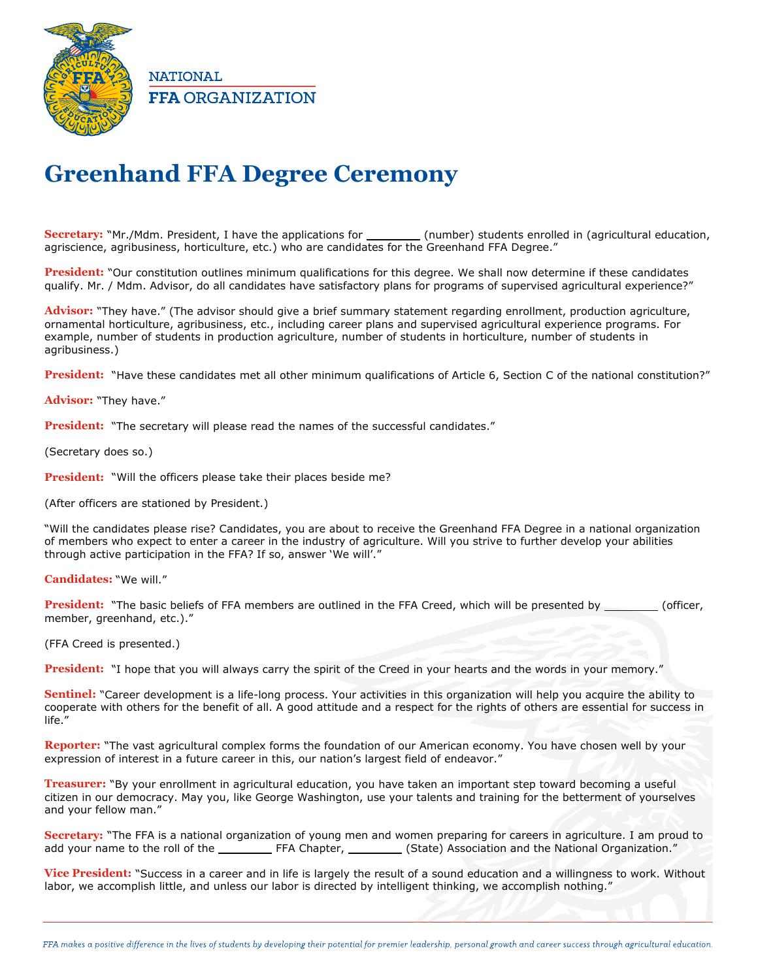

## **Greenhand FFA Degree Ceremony**

**Secretary:** "Mr./Mdm. President, I have the applications for \_\_\_\_\_\_\_\_\_\_(number) students enrolled in (agricultural education, agriscience, agribusiness, horticulture, etc.) who are candidates for the Greenhand FFA Degree."

**President:** "Our constitution outlines minimum qualifications for this degree. We shall now determine if these candidates qualify. Mr. / Mdm. Advisor, do all candidates have satisfactory plans for programs of supervised agricultural experience?"

**Advisor:** "They have." (The advisor should give a brief summary statement regarding enrollment, production agriculture, ornamental horticulture, agribusiness, etc., including career plans and supervised agricultural experience programs. For example, number of students in production agriculture, number of students in horticulture, number of students in agribusiness.)

**President:** "Have these candidates met all other minimum qualifications of Article 6, Section C of the national constitution?"

**Advisor:** "They have."

**President:** "The secretary will please read the names of the successful candidates."

(Secretary does so.)

**President:** "Will the officers please take their places beside me?

(After officers are stationed by President.)

"Will the candidates please rise? Candidates, you are about to receive the Greenhand FFA Degree in a national organization of members who expect to enter a career in the industry of agriculture. Will you strive to further develop your abilities through active participation in the FFA? If so, answer 'We will'."

**Candidates:** "We will."

**President:** "The basic beliefs of FFA members are outlined in the FFA Creed, which will be presented by (officer, member, greenhand, etc.)."

(FFA Creed is presented.)

**President:** "I hope that you will always carry the spirit of the Creed in your hearts and the words in your memory."

**Sentinel:** "Career development is a life-long process. Your activities in this organization will help you acquire the ability to cooperate with others for the benefit of all. A good attitude and a respect for the rights of others are essential for success in life."

**Reporter:** "The vast agricultural complex forms the foundation of our American economy. You have chosen well by your expression of interest in a future career in this, our nation's largest field of endeavor."

**Treasurer:** "By your enrollment in agricultural education, you have taken an important step toward becoming a useful citizen in our democracy. May you, like George Washington, use your talents and training for the betterment of yourselves and your fellow man."

**Secretary:** "The FFA is a national organization of young men and women preparing for careers in agriculture. I am proud to add your name to the roll of the Fermi Line FFA Chapter, Entergy (State) Association and the National Organization."

**Vice President:** "Success in a career and in life is largely the result of a sound education and a willingness to work. Without labor, we accomplish little, and unless our labor is directed by intelligent thinking, we accomplish nothing."